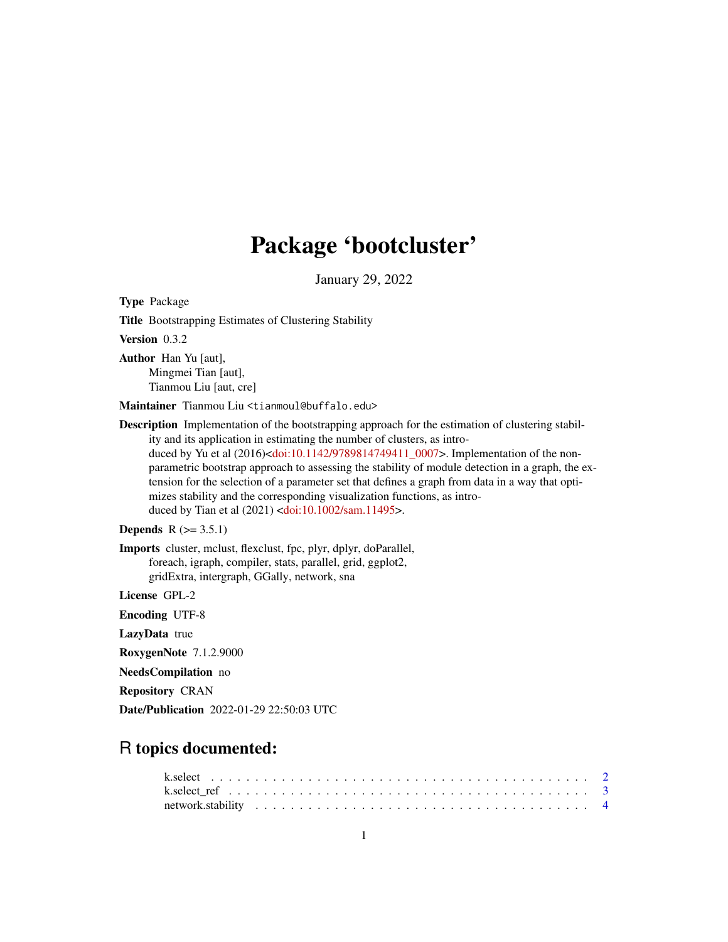## Package 'bootcluster'

January 29, 2022

Title Bootstrapping Estimates of Clustering Stability Version 0.3.2 Author Han Yu [aut], Mingmei Tian [aut], Tianmou Liu [aut, cre] Maintainer Tianmou Liu <tianmoul@buffalo.edu> **Description** Implementation of the bootstrapping approach for the estimation of clustering stability and its application in estimating the number of clusters, as intro-duced by Yu et al (2016)[<doi:10.1142/9789814749411\\_0007>](https://doi.org/10.1142/9789814749411_0007). Implementation of the nonparametric bootstrap approach to assessing the stability of module detection in a graph, the extension for the selection of a parameter set that defines a graph from data in a way that optimizes stability and the corresponding visualization functions, as introduced by Tian et al (2021) [<doi:10.1002/sam.11495>](https://doi.org/10.1002/sam.11495). **Depends**  $R$  ( $>= 3.5.1$ ) Imports cluster, mclust, flexclust, fpc, plyr, dplyr, doParallel, foreach, igraph, compiler, stats, parallel, grid, ggplot2, gridExtra, intergraph, GGally, network, sna License GPL-2 Encoding UTF-8 LazyData true RoxygenNote 7.1.2.9000 NeedsCompilation no Repository CRAN Date/Publication 2022-01-29 22:50:03 UTC

## R topics documented:

Type Package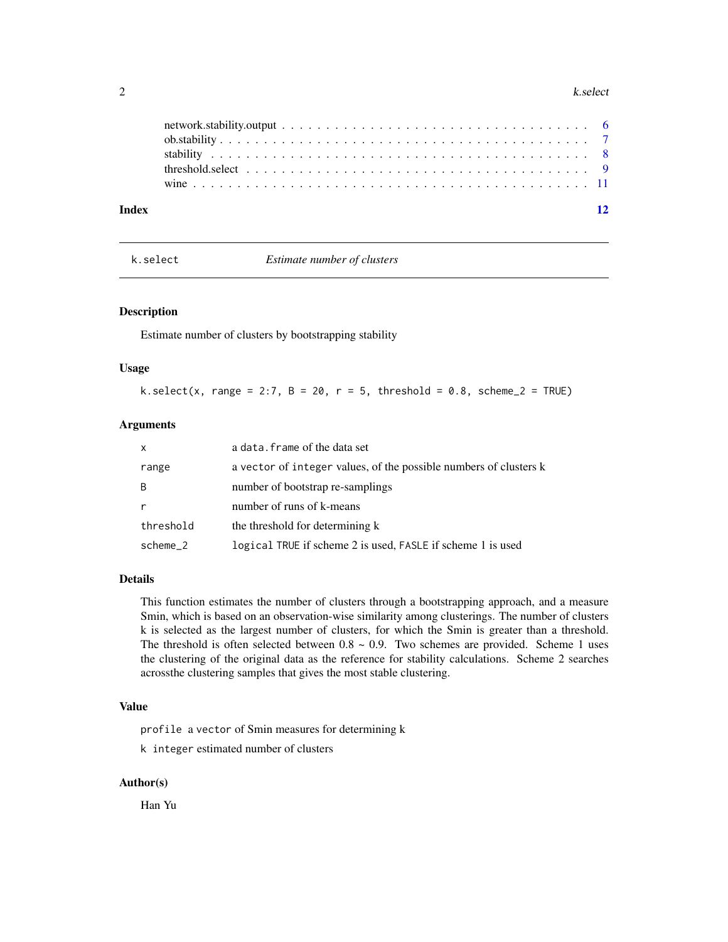#### <span id="page-1-0"></span>2 k.select

| Index |  |  |  |  |  |  |  |  |  |  |  |  |  |  | $\overline{12}$ |
|-------|--|--|--|--|--|--|--|--|--|--|--|--|--|--|-----------------|
|       |  |  |  |  |  |  |  |  |  |  |  |  |  |  |                 |
|       |  |  |  |  |  |  |  |  |  |  |  |  |  |  |                 |
|       |  |  |  |  |  |  |  |  |  |  |  |  |  |  |                 |
|       |  |  |  |  |  |  |  |  |  |  |  |  |  |  |                 |
|       |  |  |  |  |  |  |  |  |  |  |  |  |  |  |                 |

k.select *Estimate number of clusters*

#### Description

Estimate number of clusters by bootstrapping stability

### Usage

k.select(x, range = 2:7, B = 20, r = 5, threshold = 0.8, scheme\_2 = TRUE)

#### Arguments

| $\mathsf{x}$ | a data. frame of the data set                                     |
|--------------|-------------------------------------------------------------------|
| range        | a vector of integer values, of the possible numbers of clusters k |
| B            | number of bootstrap re-samplings                                  |
| $\mathsf{r}$ | number of runs of k-means                                         |
| threshold    | the threshold for determining k                                   |
| scheme_2     | logical TRUE if scheme 2 is used, FASLE if scheme 1 is used       |

#### Details

This function estimates the number of clusters through a bootstrapping approach, and a measure Smin, which is based on an observation-wise similarity among clusterings. The number of clusters k is selected as the largest number of clusters, for which the Smin is greater than a threshold. The threshold is often selected between  $0.8 \sim 0.9$ . Two schemes are provided. Scheme 1 uses the clustering of the original data as the reference for stability calculations. Scheme 2 searches acrossthe clustering samples that gives the most stable clustering.

#### Value

profile a vector of Smin measures for determining k

k integer estimated number of clusters

#### Author(s)

Han Yu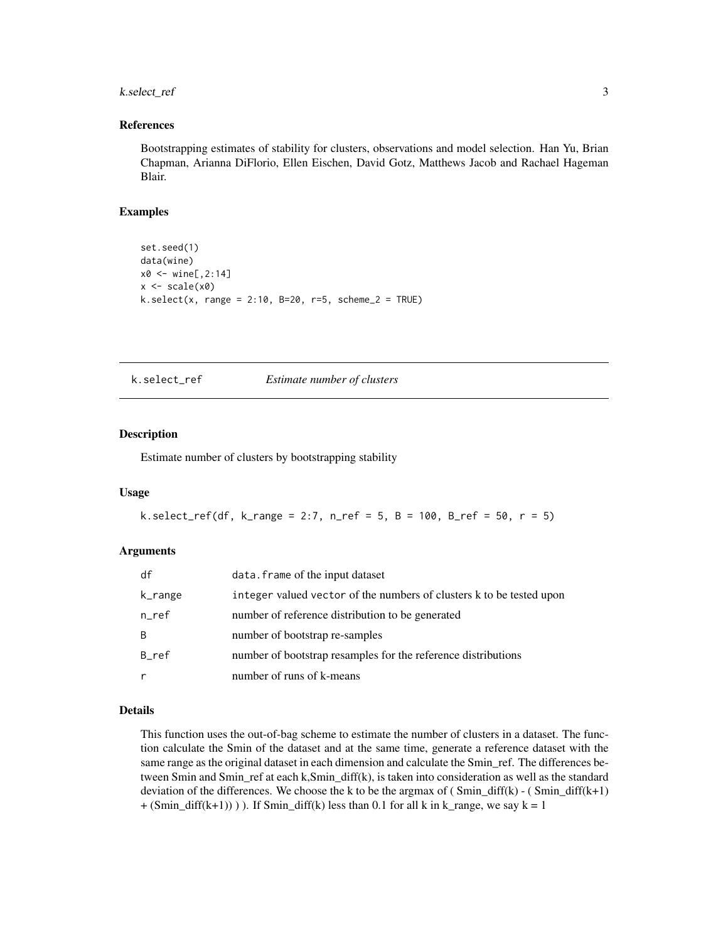#### <span id="page-2-0"></span>k.select\_ref 3

#### References

Bootstrapping estimates of stability for clusters, observations and model selection. Han Yu, Brian Chapman, Arianna DiFlorio, Ellen Eischen, David Gotz, Matthews Jacob and Rachael Hageman Blair.

#### Examples

```
set.seed(1)
data(wine)
x0 <- wine[,2:14]
x \leftarrow scale(x0)k.select(x, range = 2:10, B=20, r=5, scheme_2 = TRUE)
```
k.select\_ref *Estimate number of clusters*

#### Description

Estimate number of clusters by bootstrapping stability

#### Usage

k.select\_ref(df, k\_range = 2:7, n\_ref = 5, B = 100, B\_ref = 50, r = 5)

#### Arguments

| df      | data. frame of the input dataset                                     |
|---------|----------------------------------------------------------------------|
| k_range | integer valued vector of the numbers of clusters k to be tested upon |
| n_ref   | number of reference distribution to be generated                     |
| B       | number of bootstrap re-samples                                       |
| B_ref   | number of bootstrap resamples for the reference distributions        |
|         | number of runs of k-means                                            |

#### Details

This function uses the out-of-bag scheme to estimate the number of clusters in a dataset. The function calculate the Smin of the dataset and at the same time, generate a reference dataset with the same range as the original dataset in each dimension and calculate the Smin\_ref. The differences between Smin and Smin\_ref at each k,Smin\_diff(k), is taken into consideration as well as the standard deviation of the differences. We choose the k to be the argmax of  $(Smin\_diff(k) - (Smin\_diff(k+1))$  $+(Smin\_diff(k+1)))$ ). If Smin $\_diff(k)$  less than 0.1 for all k in k $\_range$ , we say k = 1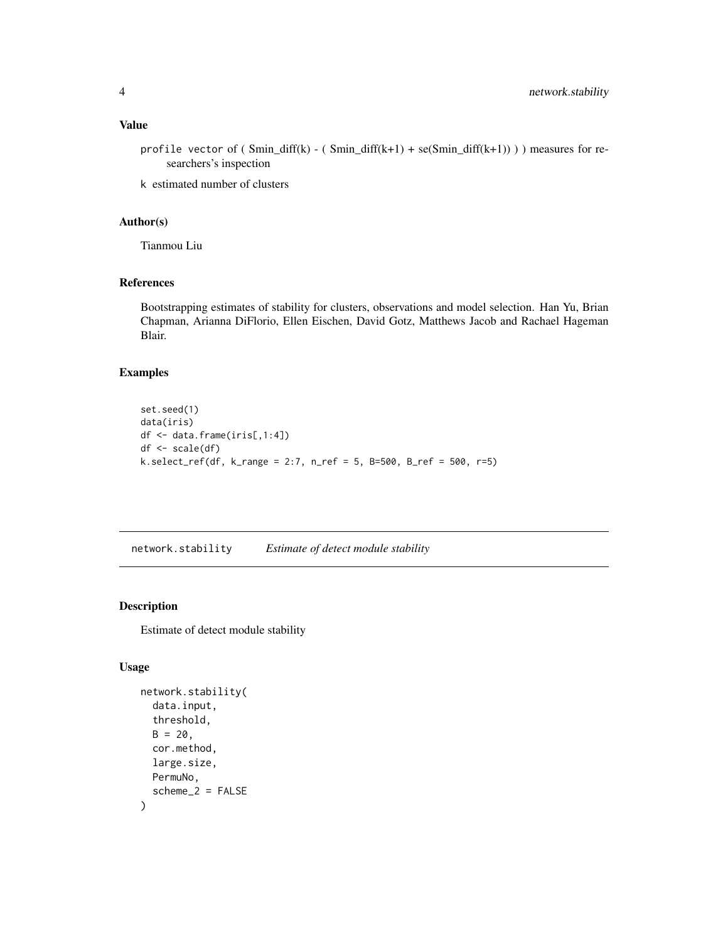#### <span id="page-3-0"></span>Value

profile vector of ( Smin\_diff(k) - ( Smin\_diff(k+1) + se(Smin\_diff(k+1)) ) ) measures for researchers's inspection

k estimated number of clusters

#### Author(s)

Tianmou Liu

#### References

Bootstrapping estimates of stability for clusters, observations and model selection. Han Yu, Brian Chapman, Arianna DiFlorio, Ellen Eischen, David Gotz, Matthews Jacob and Rachael Hageman Blair.

#### Examples

```
set.seed(1)
data(iris)
df <- data.frame(iris[,1:4])
df <- scale(df)
k.select_ref(df, k_range = 2:7, n_ref = 5, B=500, B_ref = 500, r=5)
```
network.stability *Estimate of detect module stability*

#### Description

Estimate of detect module stability

#### Usage

```
network.stability(
  data.input,
  threshold,
  B = 20.
  cor.method,
  large.size,
 PermuNo,
  scheme_2 = FALSE)
```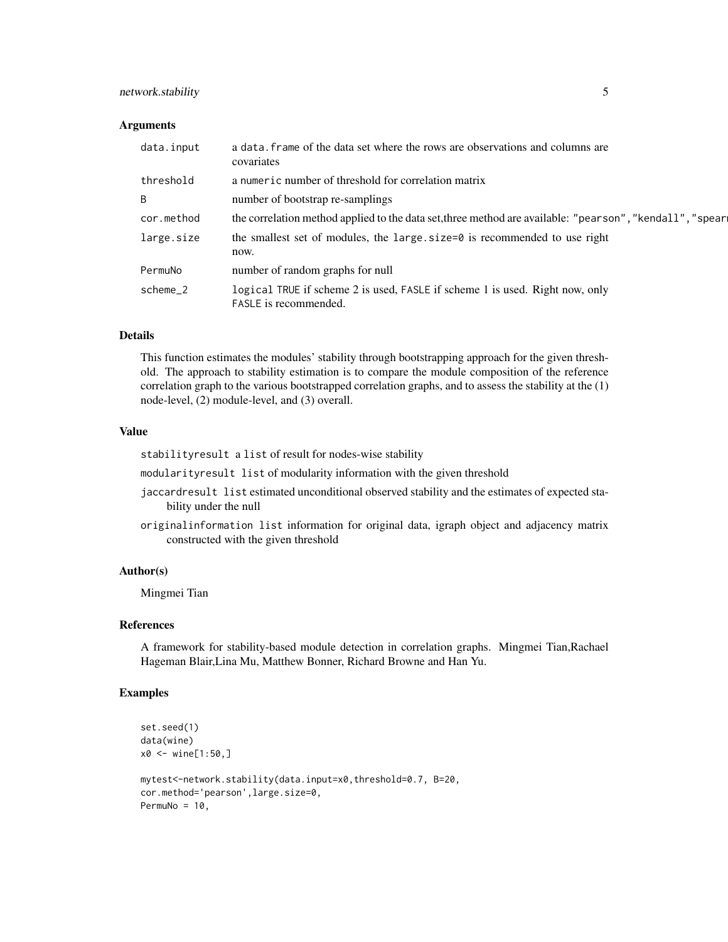#### network.stability 5

#### Arguments

| data.input | a data. frame of the data set where the rows are observations and columns are<br>covariates                  |
|------------|--------------------------------------------------------------------------------------------------------------|
| threshold  | a numeric number of threshold for correlation matrix                                                         |
| B          | number of bootstrap re-samplings                                                                             |
| cor.method | the correlation method applied to the data set, three method are available: "pearson", "kendall", "spear     |
| large.size | the smallest set of modules, the large $size=0$ is recommended to use right<br>now.                          |
| PermuNo    | number of random graphs for null                                                                             |
| scheme_2   | logical TRUE if scheme 2 is used, FASLE if scheme 1 is used. Right now, only<br><b>FASLE</b> is recommended. |

#### Details

This function estimates the modules' stability through bootstrapping approach for the given threshold. The approach to stability estimation is to compare the module composition of the reference correlation graph to the various bootstrapped correlation graphs, and to assess the stability at the (1) node-level, (2) module-level, and (3) overall.

#### Value

stabilityresult a list of result for nodes-wise stability

modularityresult list of modularity information with the given threshold

- jaccardresult list estimated unconditional observed stability and the estimates of expected stability under the null
- originalinformation list information for original data, igraph object and adjacency matrix constructed with the given threshold

#### Author(s)

Mingmei Tian

#### References

A framework for stability-based module detection in correlation graphs. Mingmei Tian,Rachael Hageman Blair,Lina Mu, Matthew Bonner, Richard Browne and Han Yu.

#### Examples

```
set.seed(1)
data(wine)
x0 < - wine[1:50,]
mytest<-network.stability(data.input=x0,threshold=0.7, B=20,
cor.method='pearson',large.size=0,
PermuNo = 10,
```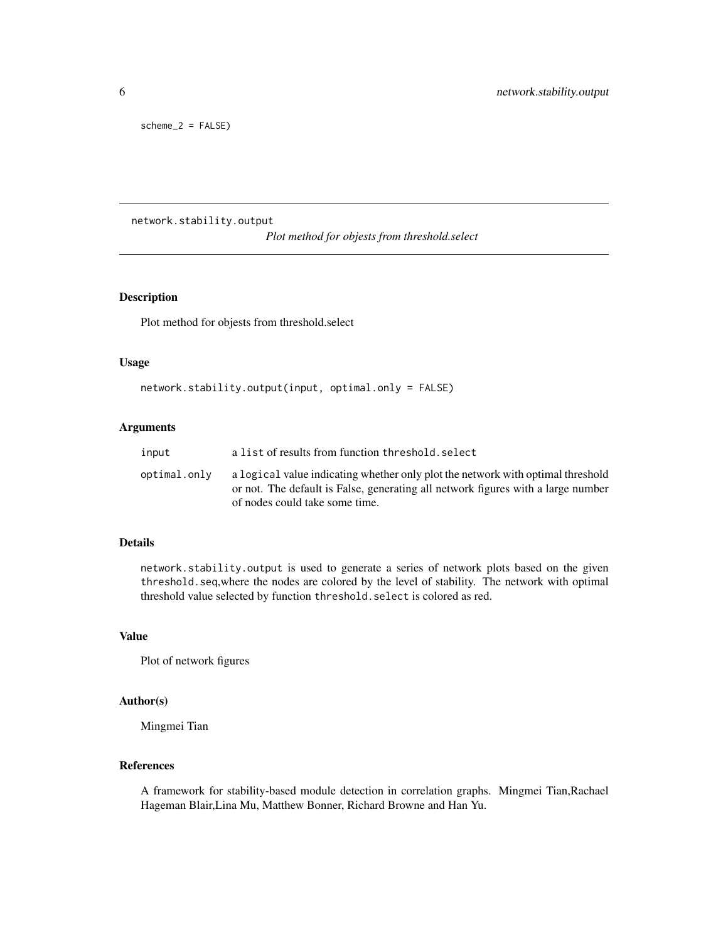<span id="page-5-0"></span>scheme\_2 = FALSE)

network.stability.output

*Plot method for objests from threshold.select*

#### Description

Plot method for objests from threshold.select

#### Usage

```
network.stability.output(input, optimal.only = FALSE)
```
#### Arguments

| input        | a list of results from function threshold, select                                                                                                                                                     |
|--------------|-------------------------------------------------------------------------------------------------------------------------------------------------------------------------------------------------------|
| optimal.only | a logical value indicating whether only plot the network with optimal threshold<br>or not. The default is False, generating all network figures with a large number<br>of nodes could take some time. |

#### Details

network.stability.output is used to generate a series of network plots based on the given threshold.seq,where the nodes are colored by the level of stability. The network with optimal threshold value selected by function threshold.select is colored as red.

#### Value

Plot of network figures

#### Author(s)

Mingmei Tian

#### References

A framework for stability-based module detection in correlation graphs. Mingmei Tian,Rachael Hageman Blair,Lina Mu, Matthew Bonner, Richard Browne and Han Yu.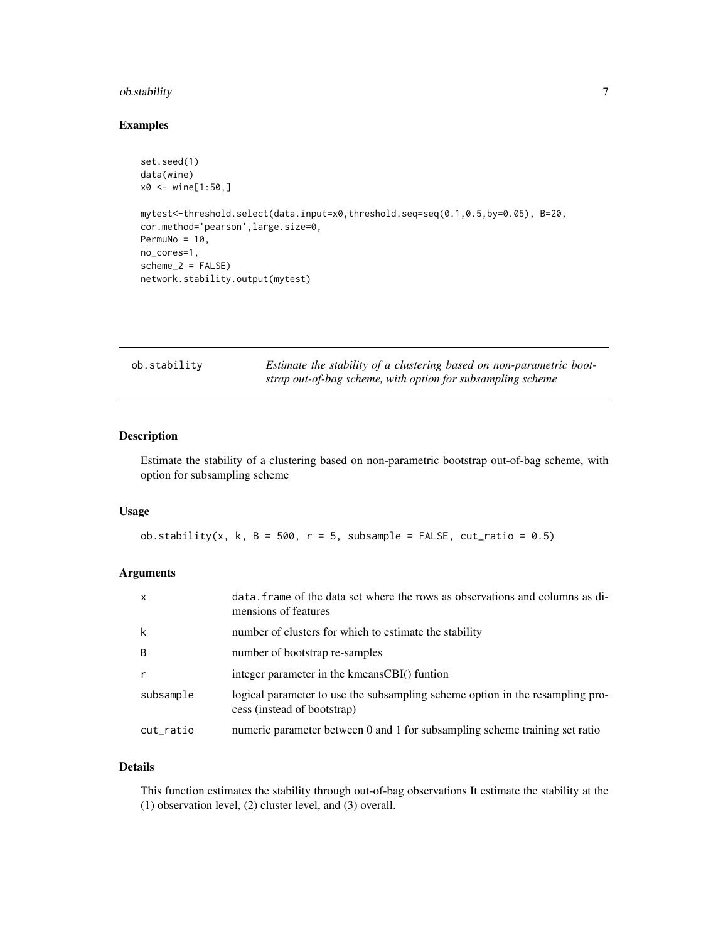#### <span id="page-6-0"></span>ob.stability 7

#### Examples

```
set.seed(1)
data(wine)
x0 \le - wine[1:50,]
mytest<-threshold.select(data.input=x0,threshold.seq=seq(0.1,0.5,by=0.05), B=20,
cor.method='pearson',large.size=0,
PermuNo = 10,
no_cores=1,
scheme_2 = FALSEnetwork.stability.output(mytest)
```

| ob.stability | Estimate the stability of a clustering based on non-parametric boot- |
|--------------|----------------------------------------------------------------------|
|              | strap out-of-bag scheme, with option for subsampling scheme          |

#### Description

Estimate the stability of a clustering based on non-parametric bootstrap out-of-bag scheme, with option for subsampling scheme

#### Usage

ob.stability(x, k, B = 500, r = 5, subsample = FALSE,  $cut\_ratio = 0.5)$ 

#### Arguments

| $\boldsymbol{\mathsf{x}}$ | data. Frame of the data set where the rows as observations and columns as di-<br>mensions of features        |
|---------------------------|--------------------------------------------------------------------------------------------------------------|
| k                         | number of clusters for which to estimate the stability                                                       |
| B                         | number of bootstrap re-samples                                                                               |
|                           | integer parameter in the kmeansCBI() funtion                                                                 |
| subsample                 | logical parameter to use the subsampling scheme option in the resampling pro-<br>cess (instead of bootstrap) |
| cut_ratio                 | numeric parameter between 0 and 1 for subsampling scheme training set ratio                                  |

#### Details

This function estimates the stability through out-of-bag observations It estimate the stability at the (1) observation level, (2) cluster level, and (3) overall.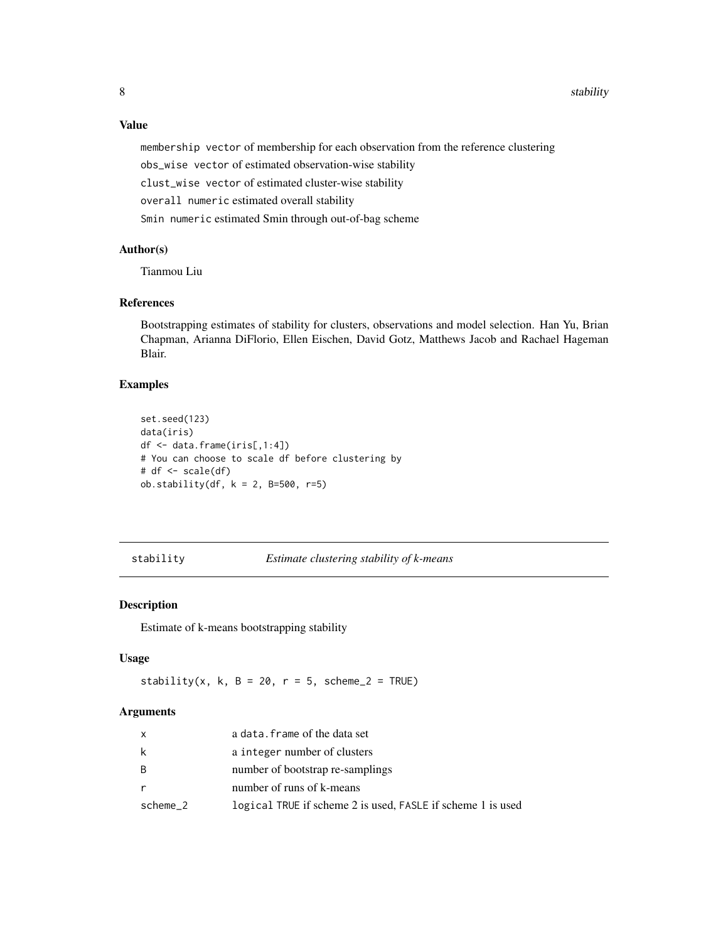<span id="page-7-0"></span>8 stability stability and the stability of the stability stability stability stability stability

Value

membership vector of membership for each observation from the reference clustering obs\_wise vector of estimated observation-wise stability clust\_wise vector of estimated cluster-wise stability overall numeric estimated overall stability Smin numeric estimated Smin through out-of-bag scheme

#### Author(s)

Tianmou Liu

#### References

Bootstrapping estimates of stability for clusters, observations and model selection. Han Yu, Brian Chapman, Arianna DiFlorio, Ellen Eischen, David Gotz, Matthews Jacob and Rachael Hageman Blair.

#### Examples

```
set.seed(123)
data(iris)
df <- data.frame(iris[,1:4])
# You can choose to scale df before clustering by
# df \leftarrow scale(df)ob.stability(df, k = 2, B=500, r=5)
```
#### stability *Estimate clustering stability of k-means*

#### Description

Estimate of k-means bootstrapping stability

#### Usage

stability(x, k, B = 20, r = 5, scheme\_2 = TRUE)

#### Arguments

| $\mathsf{x}$ | a data. frame of the data set                               |
|--------------|-------------------------------------------------------------|
| k            | a integer number of clusters                                |
| - B          | number of bootstrap re-samplings                            |
| r.           | number of runs of k-means                                   |
| scheme_2     | logical TRUE if scheme 2 is used, FASLE if scheme 1 is used |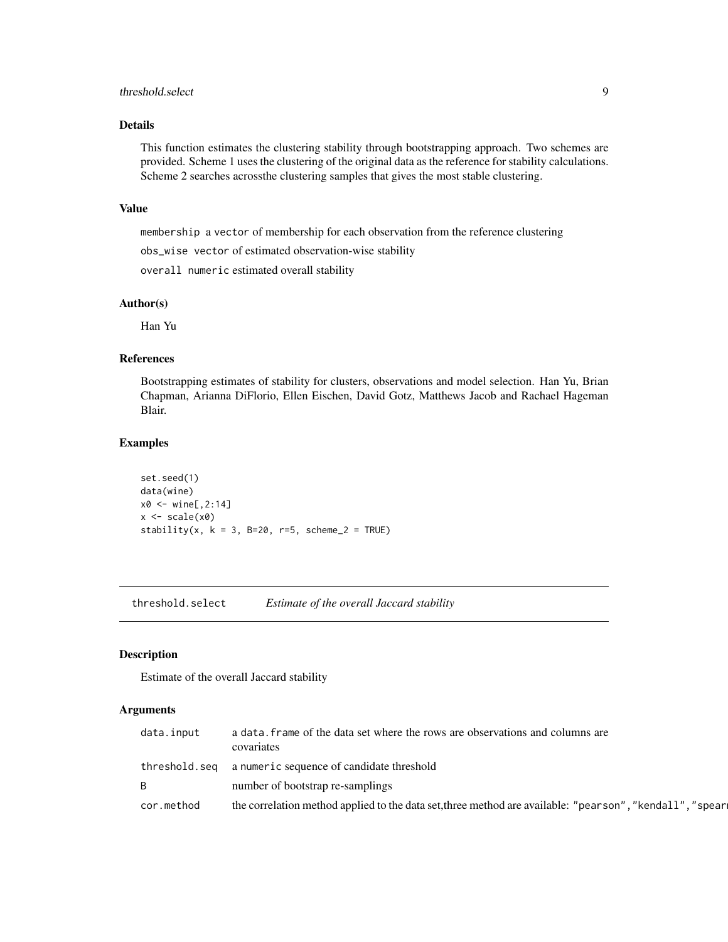#### <span id="page-8-0"></span>threshold.select 9

#### Details

This function estimates the clustering stability through bootstrapping approach. Two schemes are provided. Scheme 1 uses the clustering of the original data as the reference for stability calculations. Scheme 2 searches acrossthe clustering samples that gives the most stable clustering.

#### Value

membership a vector of membership for each observation from the reference clustering

obs\_wise vector of estimated observation-wise stability

overall numeric estimated overall stability

#### Author(s)

Han Yu

#### References

Bootstrapping estimates of stability for clusters, observations and model selection. Han Yu, Brian Chapman, Arianna DiFlorio, Ellen Eischen, David Gotz, Matthews Jacob and Rachael Hageman Blair.

#### Examples

```
set.seed(1)
data(wine)
x0 <- wine[,2:14]
x \leftarrow scale(x0)stability(x, k = 3, B=20, r=5, scheme_2 = TRUE)
```
threshold.select *Estimate of the overall Jaccard stability*

#### Description

Estimate of the overall Jaccard stability

#### Arguments

| data.input | a data. Frame of the data set where the rows are observations and columns are<br>covariates              |
|------------|----------------------------------------------------------------------------------------------------------|
|            | threshold.seq a numeric sequence of candidate threshold                                                  |
| B          | number of bootstrap re-samplings                                                                         |
| cor.method | the correlation method applied to the data set, three method are available: "pearson", "kendall", "spear |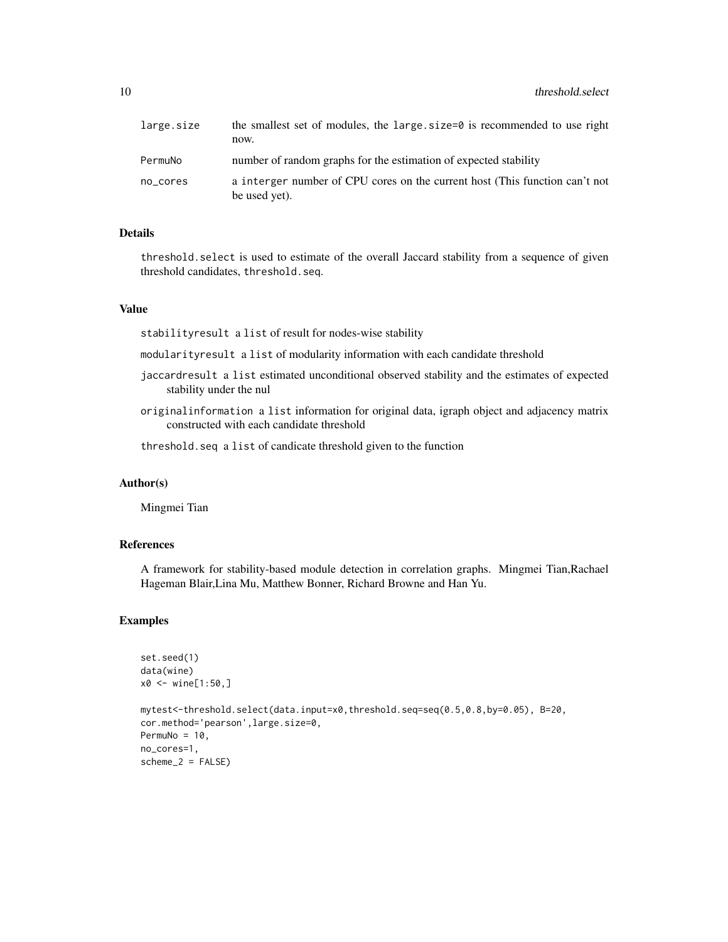| large.size | the smallest set of modules, the large size=0 is recommended to use right<br>now.            |
|------------|----------------------------------------------------------------------------------------------|
| PermuNo    | number of random graphs for the estimation of expected stability                             |
| no_cores   | a interger number of CPU cores on the current host (This function can't not<br>be used yet). |

#### Details

threshold.select is used to estimate of the overall Jaccard stability from a sequence of given threshold candidates, threshold.seq.

#### Value

stabilityresult a list of result for nodes-wise stability

modularityresult a list of modularity information with each candidate threshold

- jaccardresult a list estimated unconditional observed stability and the estimates of expected stability under the nul
- originalinformation a list information for original data, igraph object and adjacency matrix constructed with each candidate threshold

threshold.seq a list of candicate threshold given to the function

#### Author(s)

Mingmei Tian

#### References

A framework for stability-based module detection in correlation graphs. Mingmei Tian,Rachael Hageman Blair,Lina Mu, Matthew Bonner, Richard Browne and Han Yu.

#### Examples

```
set.seed(1)
data(wine)
x0 < - wine[1:50,]
mytest<-threshold.select(data.input=x0,threshold.seq=seq(0.5,0.8,by=0.05), B=20,
cor.method='pearson',large.size=0,
PermuNo = 10,
no_cores=1,
scheme_2 = FALSE
```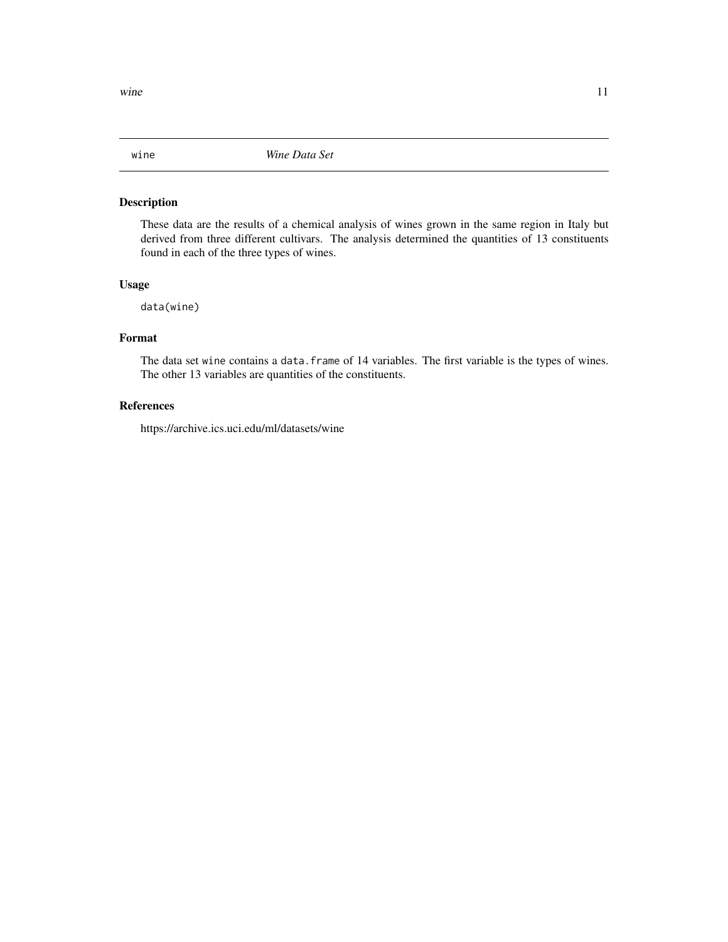<span id="page-10-0"></span>

#### Description

These data are the results of a chemical analysis of wines grown in the same region in Italy but derived from three different cultivars. The analysis determined the quantities of 13 constituents found in each of the three types of wines.

#### Usage

data(wine)

#### Format

The data set wine contains a data.frame of 14 variables. The first variable is the types of wines. The other 13 variables are quantities of the constituents.

### References

https://archive.ics.uci.edu/ml/datasets/wine